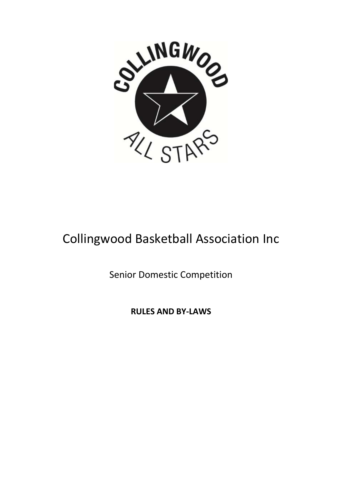

# Collingwood Basketball Association Inc

Senior Domestic Competition

**RULES AND BY-LAWS**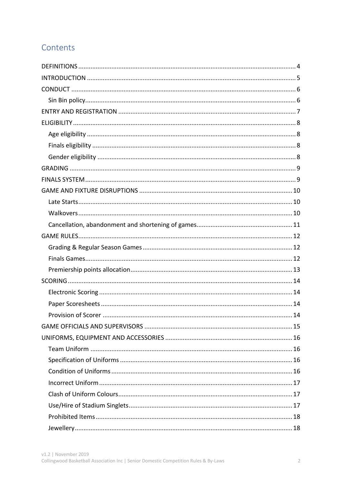# Contents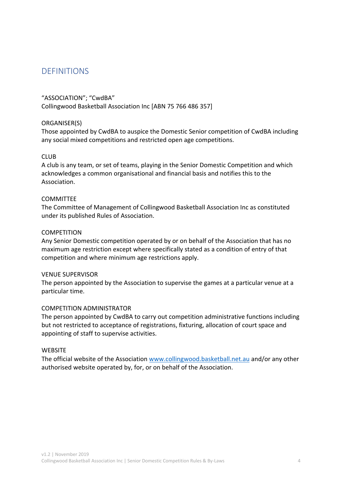# **DEFINITIONS**

#### "ASSOCIATION"; "CwdBA"

Collingwood Basketball Association Inc [ABN 75 766 486 357]

#### ORGANISER(S)

Those appointed by CwdBA to auspice the Domestic Senior competition of CwdBA including any social mixed competitions and restricted open age competitions.

#### **CLUB**

A club is any team, or set of teams, playing in the Senior Domestic Competition and which acknowledges a common organisational and financial basis and notifies this to the Association.

#### **COMMITTEE**

The Committee of Management of Collingwood Basketball Association Inc as constituted under its published Rules of Association.

#### **COMPETITION**

Any Senior Domestic competition operated by or on behalf of the Association that has no maximum age restriction except where specifically stated as a condition of entry of that competition and where minimum age restrictions apply.

#### VENUE SUPERVISOR

The person appointed by the Association to supervise the games at a particular venue at a particular time.

#### COMPETITION ADMINISTRATOR

The person appointed by CwdBA to carry out competition administrative functions including but not restricted to acceptance of registrations, fixturing, allocation of court space and appointing of staff to supervise activities.

#### **WEBSITE**

The official website of the Association www.collingwood.basketball.net.au and/or any other authorised website operated by, for, or on behalf of the Association.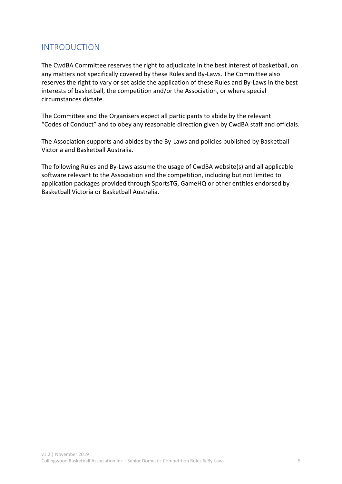# INTRODUCTION

The CwdBA Committee reserves the right to adjudicate in the best interest of basketball, on any matters not specifically covered by these Rules and By-Laws. The Committee also reserves the right to vary or set aside the application of these Rules and By-Laws in the best interests of basketball, the competition and/or the Association, or where special circumstances dictate.

The Committee and the Organisers expect all participants to abide by the relevant "Codes of Conduct" and to obey any reasonable direction given by CwdBA staff and officials.

The Association supports and abides by the By-Laws and policies published by Basketball Victoria and Basketball Australia.

The following Rules and By-Laws assume the usage of CwdBA website(s) and all applicable software relevant to the Association and the competition, including but not limited to application packages provided through SportsTG, GameHQ or other entities endorsed by Basketball Victoria or Basketball Australia.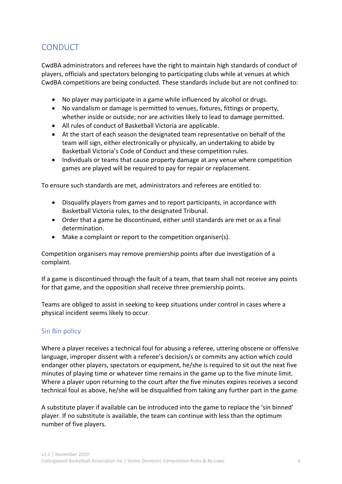# CONDUCT

CwdBA administrators and referees have the right to maintain high standards of conduct of players, officials and spectators belonging to participating clubs while at venues at which CwdBA competitions are being conducted. These standards include but are not confined to:

- No player may participate in a game while influenced by alcohol or drugs.
- No vandalism or damage is permitted to venues, fixtures, fittings or property, whether inside or outside; nor are activities likely to lead to damage permitted.
- All rules of conduct of Basketball Victoria are applicable.
- At the start of each season the designated team representative on behalf of the team will sign, either electronically or physically, an undertaking to abide by Basketball Victoria's Code of Conduct and these competition rules.
- Individuals or teams that cause property damage at any venue where competition games are played will be required to pay for repair or replacement.

To ensure such standards are met, administrators and referees are entitled to:

- Disqualify players from games and to report participants, in accordance with Basketball Victoria rules, to the designated Tribunal.
- Order that a game be discontinued, either until standards are met or as a final determination.
- Make a complaint or report to the competition organiser(s).

Competition organisers may remove premiership points after due investigation of a complaint.

If a game is discontinued through the fault of a team, that team shall not receive any points for that game, and the opposition shall receive three premiership points.

Teams are obliged to assist in seeking to keep situations under control in cases where a physical incident seems likely to occur.

### Sin Bin policy

Where a player receives a technical foul for abusing a referee, uttering obscene or offensive language, improper dissent with a referee's decision/s or commits any action which could endanger other players, spectators or equipment, he/she is required to sit out the next five minutes of playing time or whatever time remains in the game up to the five minute limit. Where a player upon returning to the court after the five minutes expires receives a second technical foul as above, he/she will be disqualified from taking any further part in the game.

A substitute player if available can be introduced into the game to replace the 'sin binned' player. If no substitute is available, the team can continue with less than the optimum number of five players.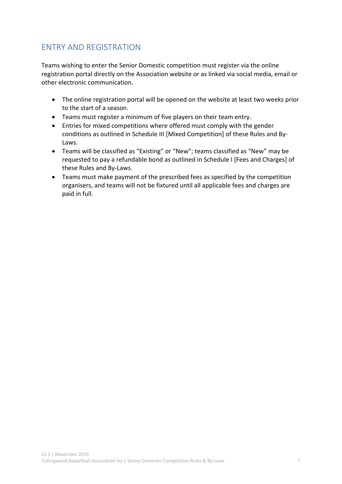# ENTRY AND REGISTRATION

Teams wishing to enter the Senior Domestic competition must register via the online registration portal directly on the Association website or as linked via social media, email or other electronic communication.

- The online registration portal will be opened on the website at least two weeks prior to the start of a season.
- Teams must register a minimum of five players on their team entry.
- Entries for mixed competitions where offered must comply with the gender conditions as outlined in Schedule III [Mixed Competition] of these Rules and By-Laws.
- Teams will be classified as "Existing" or "New"; teams classified as "New" may be requested to pay a refundable bond as outlined in Schedule I [Fees and Charges] of these Rules and By-Laws.
- Teams must make payment of the prescribed fees as specified by the competition organisers, and teams will not be fixtured until all applicable fees and charges are paid in full.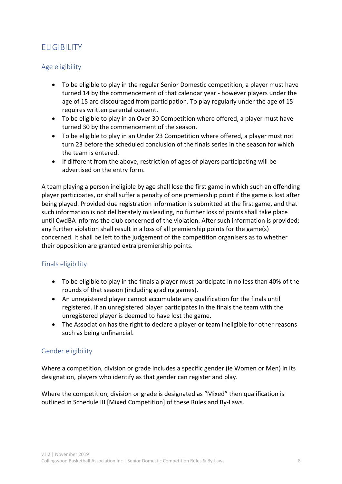# **ELIGIBILITY**

### Age eligibility

- To be eligible to play in the regular Senior Domestic competition, a player must have turned 14 by the commencement of that calendar year - however players under the age of 15 are discouraged from participation. To play regularly under the age of 15 requires written parental consent.
- To be eligible to play in an Over 30 Competition where offered, a player must have turned 30 by the commencement of the season.
- To be eligible to play in an Under 23 Competition where offered, a player must not turn 23 before the scheduled conclusion of the finals series in the season for which the team is entered.
- If different from the above, restriction of ages of players participating will be advertised on the entry form.

A team playing a person ineligible by age shall lose the first game in which such an offending player participates, or shall suffer a penalty of one premiership point if the game is lost after being played. Provided due registration information is submitted at the first game, and that such information is not deliberately misleading, no further loss of points shall take place until CwdBA informs the club concerned of the violation. After such information is provided; any further violation shall result in a loss of all premiership points for the game(s) concerned. It shall be left to the judgement of the competition organisers as to whether their opposition are granted extra premiership points.

# Finals eligibility

- To be eligible to play in the finals a player must participate in no less than 40% of the rounds of that season (including grading games).
- An unregistered player cannot accumulate any qualification for the finals until registered. If an unregistered player participates in the finals the team with the unregistered player is deemed to have lost the game.
- The Association has the right to declare a player or team ineligible for other reasons such as being unfinancial.

### Gender eligibility

Where a competition, division or grade includes a specific gender (ie Women or Men) in its designation, players who identify as that gender can register and play.

Where the competition, division or grade is designated as "Mixed" then qualification is outlined in Schedule III [Mixed Competition] of these Rules and By-Laws.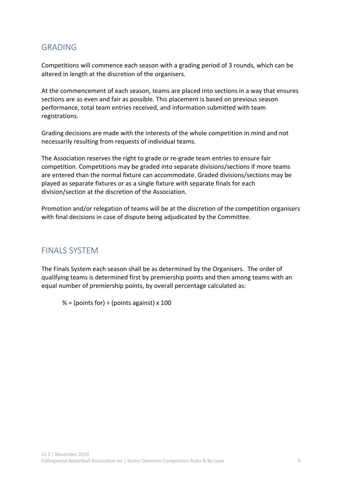# GRADING

Competitions will commence each season with a grading period of 3 rounds, which can be altered in length at the discretion of the organisers.

At the commencement of each season, teams are placed into sections in a way that ensures sections are as even and fair as possible. This placement is based on previous season performance, total team entries received, and information submitted with team registrations.

Grading decisions are made with the interests of the whole competition in mind and not necessarily resulting from requests of individual teams.

The Association reserves the right to grade or re-grade team entries to ensure fair competition. Competitions may be graded into separate divisions/sections if more teams are entered than the normal fixture can accommodate. Graded divisions/sections may be played as separate fixtures or as a single fixture with separate finals for each division/section at the discretion of the Association.

Promotion and/or relegation of teams will be at the discretion of the competition organisers with final decisions in case of dispute being adjudicated by the Committee.

# FINALS SYSTEM

The Finals System each season shall be as determined by the Organisers. The order of qualifying teams is determined first by premiership points and then among teams with an equal number of premiership points, by overall percentage calculated as:

% = (points for)  $\div$  (points against) x 100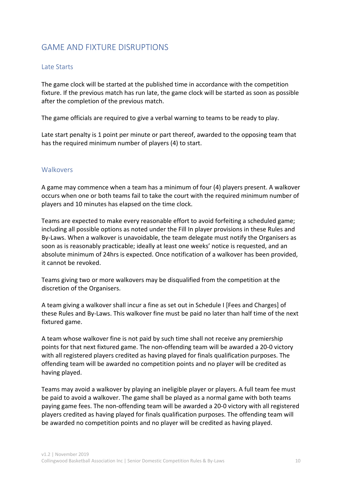# GAME AND FIXTURE DISRUPTIONS

### Late Starts

The game clock will be started at the published time in accordance with the competition fixture. If the previous match has run late, the game clock will be started as soon as possible after the completion of the previous match.

The game officials are required to give a verbal warning to teams to be ready to play.

Late start penalty is 1 point per minute or part thereof, awarded to the opposing team that has the required minimum number of players (4) to start.

### **Walkovers**

A game may commence when a team has a minimum of four (4) players present. A walkover occurs when one or both teams fail to take the court with the required minimum number of players and 10 minutes has elapsed on the time clock.

Teams are expected to make every reasonable effort to avoid forfeiting a scheduled game; including all possible options as noted under the Fill In player provisions in these Rules and By-Laws. When a walkover is unavoidable, the team delegate must notify the Organisers as soon as is reasonably practicable; ideally at least one weeks' notice is requested, and an absolute minimum of 24hrs is expected. Once notification of a walkover has been provided, it cannot be revoked.

Teams giving two or more walkovers may be disqualified from the competition at the discretion of the Organisers.

A team giving a walkover shall incur a fine as set out in Schedule I [Fees and Charges] of these Rules and By-Laws. This walkover fine must be paid no later than half time of the next fixtured game.

A team whose walkover fine is not paid by such time shall not receive any premiership points for that next fixtured game. The non-offending team will be awarded a 20-0 victory with all registered players credited as having played for finals qualification purposes. The offending team will be awarded no competition points and no player will be credited as having played.

Teams may avoid a walkover by playing an ineligible player or players. A full team fee must be paid to avoid a walkover. The game shall be played as a normal game with both teams paying game fees. The non-offending team will be awarded a 20-0 victory with all registered players credited as having played for finals qualification purposes. The offending team will be awarded no competition points and no player will be credited as having played.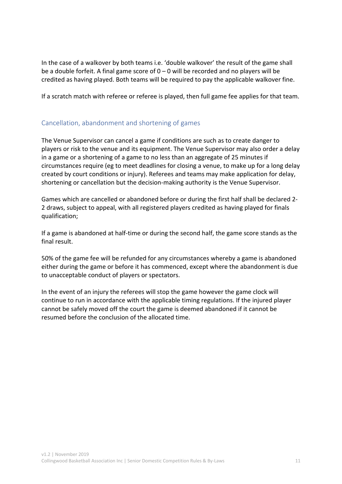In the case of a walkover by both teams i.e. 'double walkover' the result of the game shall be a double forfeit. A final game score of  $0 - 0$  will be recorded and no players will be credited as having played. Both teams will be required to pay the applicable walkover fine.

If a scratch match with referee or referee is played, then full game fee applies for that team.

# Cancellation, abandonment and shortening of games

The Venue Supervisor can cancel a game if conditions are such as to create danger to players or risk to the venue and its equipment. The Venue Supervisor may also order a delay in a game or a shortening of a game to no less than an aggregate of 25 minutes if circumstances require (eg to meet deadlines for closing a venue, to make up for a long delay created by court conditions or injury). Referees and teams may make application for delay, shortening or cancellation but the decision-making authority is the Venue Supervisor.

Games which are cancelled or abandoned before or during the first half shall be declared 2- 2 draws, subject to appeal, with all registered players credited as having played for finals qualification;

If a game is abandoned at half-time or during the second half, the game score stands as the final result.

50% of the game fee will be refunded for any circumstances whereby a game is abandoned either during the game or before it has commenced, except where the abandonment is due to unacceptable conduct of players or spectators.

In the event of an injury the referees will stop the game however the game clock will continue to run in accordance with the applicable timing regulations. If the injured player cannot be safely moved off the court the game is deemed abandoned if it cannot be resumed before the conclusion of the allocated time.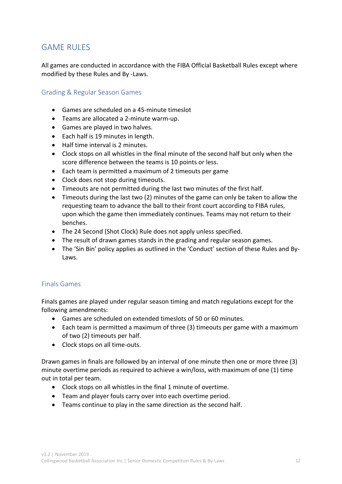# GAME RULES

All games are conducted in accordance with the FIBA Official Basketball Rules except where modified by these Rules and By -Laws.

### Grading & Regular Season Games

- Games are scheduled on a 45-minute timeslot
- Teams are allocated a 2-minute warm-up.
- Games are played in two halves.
- Each half is 19 minutes in length.
- Half time interval is 2 minutes.
- Clock stops on all whistles in the final minute of the second half but only when the score difference between the teams is 10 points or less.
- Each team is permitted a maximum of 2 timeouts per game
- Clock does not stop during timeouts.
- Timeouts are not permitted during the last two minutes of the first half.
- Timeouts during the last two (2) minutes of the game can only be taken to allow the requesting team to advance the ball to their front court according to FIBA rules, upon which the game then immediately continues. Teams may not return to their benches.
- The 24 Second (Shot Clock) Rule does not apply unless specified.
- The result of drawn games stands in the grading and regular season games.
- The 'Sin Bin' policy applies as outlined in the 'Conduct' section of these Rules and By-Laws.

### Finals Games

Finals games are played under regular season timing and match regulations except for the following amendments:

- Games are scheduled on extended timeslots of 50 or 60 minutes.
- Each team is permitted a maximum of three (3) timeouts per game with a maximum of two (2) timeouts per half.
- Clock stops on all time-outs.

Drawn games in finals are followed by an interval of one minute then one or more three (3) minute overtime periods as required to achieve a win/loss, with maximum of one (1) time out in total per team.

- Clock stops on all whistles in the final 1 minute of overtime.
- Team and player fouls carry over into each overtime period.
- Teams continue to play in the same direction as the second half.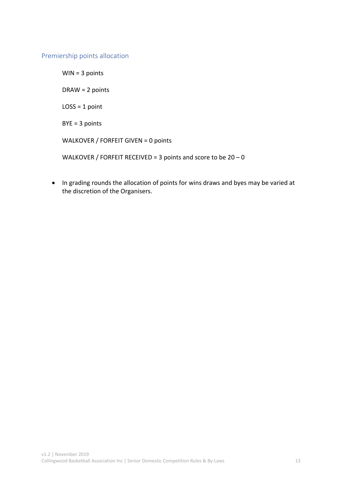### Premiership points allocation

WIN = 3 points DRAW = 2 points  $LOSS = 1$  point BYE = 3 points WALKOVER / FORFEIT GIVEN = 0 points WALKOVER / FORFEIT RECEIVED = 3 points and score to be  $20 - 0$ 

• In grading rounds the allocation of points for wins draws and byes may be varied at the discretion of the Organisers.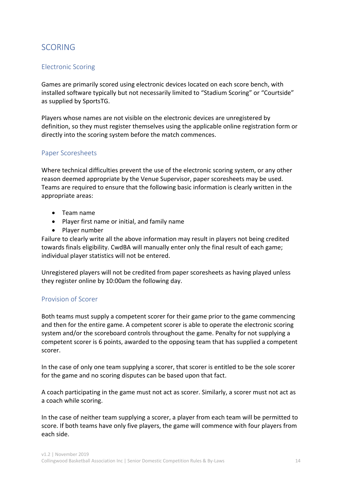# SCORING

### Electronic Scoring

Games are primarily scored using electronic devices located on each score bench, with installed software typically but not necessarily limited to "Stadium Scoring" or "Courtside" as supplied by SportsTG.

Players whose names are not visible on the electronic devices are unregistered by definition, so they must register themselves using the applicable online registration form or directly into the scoring system before the match commences.

#### Paper Scoresheets

Where technical difficulties prevent the use of the electronic scoring system, or any other reason deemed appropriate by the Venue Supervisor, paper scoresheets may be used. Teams are required to ensure that the following basic information is clearly written in the appropriate areas:

- Team name
- Player first name or initial, and family name
- Player number

Failure to clearly write all the above information may result in players not being credited towards finals eligibility. CwdBA will manually enter only the final result of each game; individual player statistics will not be entered.

Unregistered players will not be credited from paper scoresheets as having played unless they register online by 10:00am the following day.

### Provision of Scorer

Both teams must supply a competent scorer for their game prior to the game commencing and then for the entire game. A competent scorer is able to operate the electronic scoring system and/or the scoreboard controls throughout the game. Penalty for not supplying a competent scorer is 6 points, awarded to the opposing team that has supplied a competent scorer.

In the case of only one team supplying a scorer, that scorer is entitled to be the sole scorer for the game and no scoring disputes can be based upon that fact.

A coach participating in the game must not act as scorer. Similarly, a scorer must not act as a coach while scoring.

In the case of neither team supplying a scorer, a player from each team will be permitted to score. If both teams have only five players, the game will commence with four players from each side.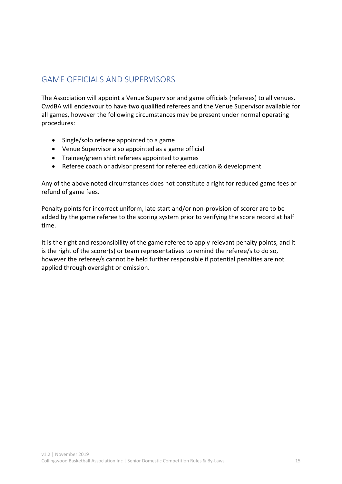# GAME OFFICIALS AND SUPERVISORS

The Association will appoint a Venue Supervisor and game officials (referees) to all venues. CwdBA will endeavour to have two qualified referees and the Venue Supervisor available for all games, however the following circumstances may be present under normal operating procedures:

- Single/solo referee appointed to a game
- Venue Supervisor also appointed as a game official
- Trainee/green shirt referees appointed to games
- Referee coach or advisor present for referee education & development

Any of the above noted circumstances does not constitute a right for reduced game fees or refund of game fees.

Penalty points for incorrect uniform, late start and/or non-provision of scorer are to be added by the game referee to the scoring system prior to verifying the score record at half time.

It is the right and responsibility of the game referee to apply relevant penalty points, and it is the right of the scorer(s) or team representatives to remind the referee/s to do so, however the referee/s cannot be held further responsible if potential penalties are not applied through oversight or omission.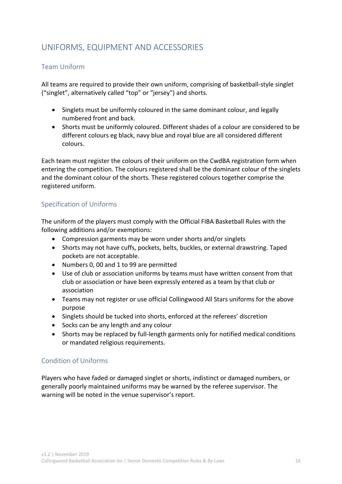# UNIFORMS, EQUIPMENT AND ACCESSORIES

### Team Uniform

All teams are required to provide their own uniform, comprising of basketball-style singlet ("singlet", alternatively called "top" or "jersey") and shorts.

- Singlets must be uniformly coloured in the same dominant colour, and legally numbered front and back.
- Shorts must be uniformly coloured. Different shades of a colour are considered to be different colours eg black, navy blue and royal blue are all considered different colours.

Each team must register the colours of their uniform on the CwdBA registration form when entering the competition. The colours registered shall be the dominant colour of the singlets and the dominant colour of the shorts. These registered colours together comprise the registered uniform.

### Specification of Uniforms

The uniform of the players must comply with the Official FIBA Basketball Rules with the following additions and/or exemptions:

- Compression garments may be worn under shorts and/or singlets
- Shorts may not have cuffs, pockets, belts, buckles, or external drawstring. Taped pockets are not acceptable.
- Numbers 0, 00 and 1 to 99 are permitted
- Use of club or association uniforms by teams must have written consent from that club or association or have been expressly entered as a team by that club or association
- Teams may not register or use official Collingwood All Stars uniforms for the above purpose
- Singlets should be tucked into shorts, enforced at the referees' discretion
- Socks can be any length and any colour
- Shorts may be replaced by full-length garments only for notified medical conditions or mandated religious requirements.

### Condition of Uniforms

Players who have faded or damaged singlet or shorts, indistinct or damaged numbers, or generally poorly maintained uniforms may be warned by the referee supervisor. The warning will be noted in the venue supervisor's report.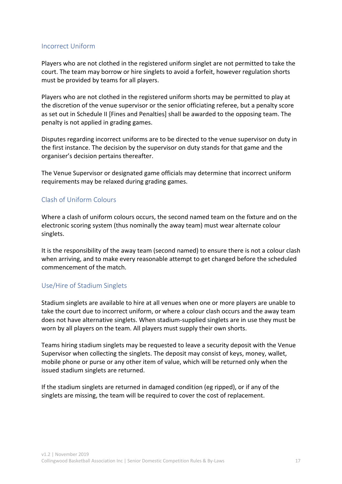#### Incorrect Uniform

Players who are not clothed in the registered uniform singlet are not permitted to take the court. The team may borrow or hire singlets to avoid a forfeit, however regulation shorts must be provided by teams for all players.

Players who are not clothed in the registered uniform shorts may be permitted to play at the discretion of the venue supervisor or the senior officiating referee, but a penalty score as set out in Schedule II [Fines and Penalties] shall be awarded to the opposing team. The penalty is not applied in grading games.

Disputes regarding incorrect uniforms are to be directed to the venue supervisor on duty in the first instance. The decision by the supervisor on duty stands for that game and the organiser's decision pertains thereafter.

The Venue Supervisor or designated game officials may determine that incorrect uniform requirements may be relaxed during grading games.

### Clash of Uniform Colours

Where a clash of uniform colours occurs, the second named team on the fixture and on the electronic scoring system (thus nominally the away team) must wear alternate colour singlets.

It is the responsibility of the away team (second named) to ensure there is not a colour clash when arriving, and to make every reasonable attempt to get changed before the scheduled commencement of the match.

### Use/Hire of Stadium Singlets

Stadium singlets are available to hire at all venues when one or more players are unable to take the court due to incorrect uniform, or where a colour clash occurs and the away team does not have alternative singlets. When stadium-supplied singlets are in use they must be worn by all players on the team. All players must supply their own shorts.

Teams hiring stadium singlets may be requested to leave a security deposit with the Venue Supervisor when collecting the singlets. The deposit may consist of keys, money, wallet, mobile phone or purse or any other item of value, which will be returned only when the issued stadium singlets are returned.

If the stadium singlets are returned in damaged condition (eg ripped), or if any of the singlets are missing, the team will be required to cover the cost of replacement.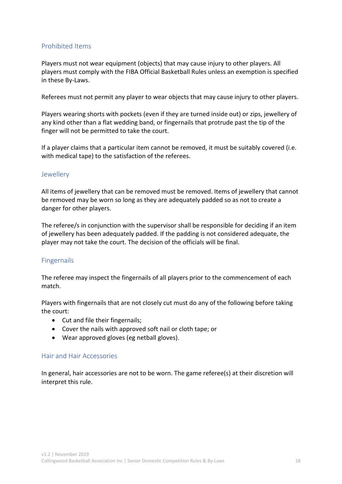### Prohibited Items

Players must not wear equipment (objects) that may cause injury to other players. All players must comply with the FIBA Official Basketball Rules unless an exemption is specified in these By-Laws.

Referees must not permit any player to wear objects that may cause injury to other players.

Players wearing shorts with pockets (even if they are turned inside out) or zips, jewellery of any kind other than a flat wedding band, or fingernails that protrude past the tip of the finger will not be permitted to take the court.

If a player claims that a particular item cannot be removed, it must be suitably covered (i.e. with medical tape) to the satisfaction of the referees.

#### Jewellery

All items of jewellery that can be removed must be removed. Items of jewellery that cannot be removed may be worn so long as they are adequately padded so as not to create a danger for other players.

The referee/s in conjunction with the supervisor shall be responsible for deciding if an item of jewellery has been adequately padded. If the padding is not considered adequate, the player may not take the court. The decision of the officials will be final.

### Fingernails

The referee may inspect the fingernails of all players prior to the commencement of each match.

Players with fingernails that are not closely cut must do any of the following before taking the court:

- Cut and file their fingernails;
- Cover the nails with approved soft nail or cloth tape; or
- Wear approved gloves (eg netball gloves).

#### Hair and Hair Accessories

In general, hair accessories are not to be worn. The game referee(s) at their discretion will interpret this rule.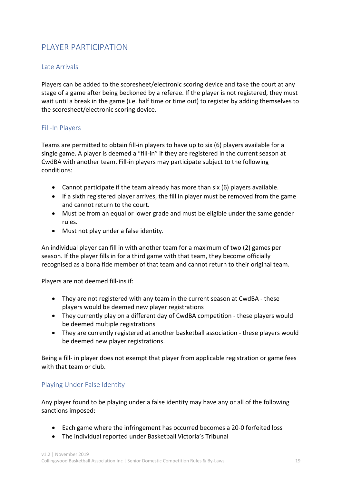# PLAYER PARTICIPATION

### Late Arrivals

Players can be added to the scoresheet/electronic scoring device and take the court at any stage of a game after being beckoned by a referee. If the player is not registered, they must wait until a break in the game (i.e. half time or time out) to register by adding themselves to the scoresheet/electronic scoring device.

### Fill-In Players

Teams are permitted to obtain fill-in players to have up to six (6) players available for a single game. A player is deemed a "fill-in" if they are registered in the current season at CwdBA with another team. Fill-in players may participate subject to the following conditions:

- Cannot participate if the team already has more than six (6) players available.
- If a sixth registered player arrives, the fill in player must be removed from the game and cannot return to the court.
- Must be from an equal or lower grade and must be eligible under the same gender rules.
- Must not play under a false identity.

An individual player can fill in with another team for a maximum of two (2) games per season. If the player fills in for a third game with that team, they become officially recognised as a bona fide member of that team and cannot return to their original team.

Players are not deemed fill-ins if:

- They are not registered with any team in the current season at CwdBA these players would be deemed new player registrations
- They currently play on a different day of CwdBA competition these players would be deemed multiple registrations
- They are currently registered at another basketball association these players would be deemed new player registrations.

Being a fill- in player does not exempt that player from applicable registration or game fees with that team or club.

### Playing Under False Identity

Any player found to be playing under a false identity may have any or all of the following sanctions imposed:

- Each game where the infringement has occurred becomes a 20-0 forfeited loss
- The individual reported under Basketball Victoria's Tribunal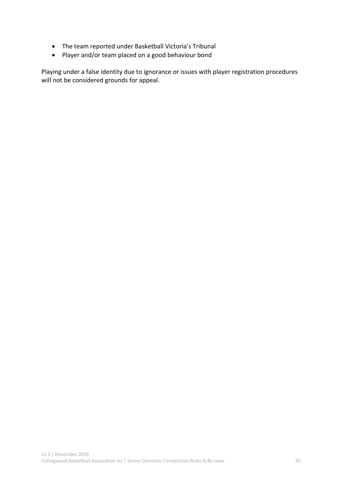- The team reported under Basketball Victoria's Tribunal
- Player and/or team placed on a good behaviour bond

Playing under a false identity due to ignorance or issues with player registration procedures will not be considered grounds for appeal.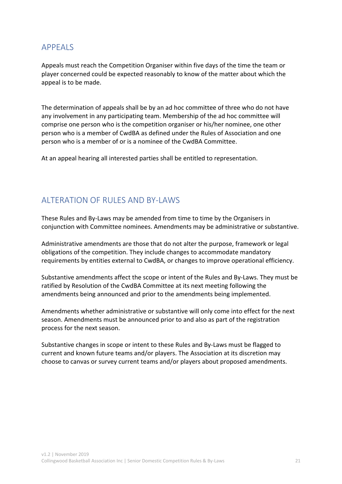# APPEALS

Appeals must reach the Competition Organiser within five days of the time the team or player concerned could be expected reasonably to know of the matter about which the appeal is to be made.

The determination of appeals shall be by an ad hoc committee of three who do not have any involvement in any participating team. Membership of the ad hoc committee will comprise one person who is the competition organiser or his/her nominee, one other person who is a member of CwdBA as defined under the Rules of Association and one person who is a member of or is a nominee of the CwdBA Committee.

At an appeal hearing all interested parties shall be entitled to representation.

# ALTERATION OF RULES AND BY-LAWS

These Rules and By-Laws may be amended from time to time by the Organisers in conjunction with Committee nominees. Amendments may be administrative or substantive.

Administrative amendments are those that do not alter the purpose, framework or legal obligations of the competition. They include changes to accommodate mandatory requirements by entities external to CwdBA, or changes to improve operational efficiency.

Substantive amendments affect the scope or intent of the Rules and By-Laws. They must be ratified by Resolution of the CwdBA Committee at its next meeting following the amendments being announced and prior to the amendments being implemented.

Amendments whether administrative or substantive will only come into effect for the next season. Amendments must be announced prior to and also as part of the registration process for the next season.

Substantive changes in scope or intent to these Rules and By-Laws must be flagged to current and known future teams and/or players. The Association at its discretion may choose to canvas or survey current teams and/or players about proposed amendments.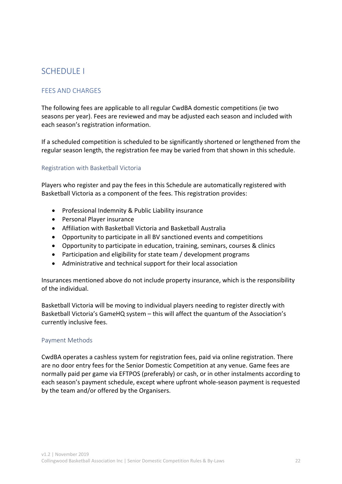# SCHEDULE I

# FEES AND CHARGES

The following fees are applicable to all regular CwdBA domestic competitions (ie two seasons per year). Fees are reviewed and may be adjusted each season and included with each season's registration information.

If a scheduled competition is scheduled to be significantly shortened or lengthened from the regular season length, the registration fee may be varied from that shown in this schedule.

#### Registration with Basketball Victoria

Players who register and pay the fees in this Schedule are automatically registered with Basketball Victoria as a component of the fees. This registration provides:

- Professional Indemnity & Public Liability insurance
- Personal Player insurance
- Affiliation with Basketball Victoria and Basketball Australia
- Opportunity to participate in all BV sanctioned events and competitions
- Opportunity to participate in education, training, seminars, courses & clinics
- Participation and eligibility for state team / development programs
- Administrative and technical support for their local association

Insurances mentioned above do not include property insurance, which is the responsibility of the individual.

Basketball Victoria will be moving to individual players needing to register directly with Basketball Victoria's GameHQ system – this will affect the quantum of the Association's currently inclusive fees.

#### Payment Methods

CwdBA operates a cashless system for registration fees, paid via online registration. There are no door entry fees for the Senior Domestic Competition at any venue. Game fees are normally paid per game via EFTPOS (preferably) or cash, or in other instalments according to each season's payment schedule, except where upfront whole-season payment is requested by the team and/or offered by the Organisers.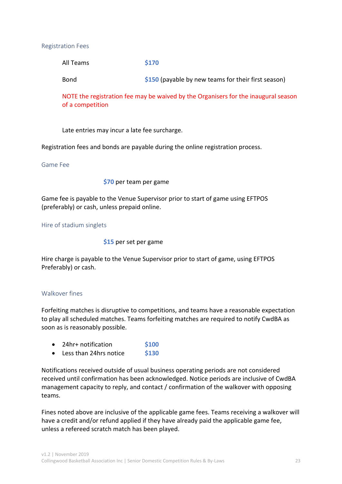#### Registration Fees

All Teams **\$170**

Bond **\$150** (payable by new teams for their first season)

NOTE the registration fee may be waived by the Organisers for the inaugural season of a competition

Late entries may incur a late fee surcharge.

Registration fees and bonds are payable during the online registration process.

#### Game Fee

#### **\$70** per team per game

Game fee is payable to the Venue Supervisor prior to start of game using EFTPOS (preferably) or cash, unless prepaid online.

Hire of stadium singlets

**\$15** per set per game

Hire charge is payable to the Venue Supervisor prior to start of game, using EFTPOS Preferably) or cash.

#### Walkover fines

Forfeiting matches is disruptive to competitions, and teams have a reasonable expectation to play all scheduled matches. Teams forfeiting matches are required to notify CwdBA as soon as is reasonably possible.

|  | 24hr+ notification | \$100 |
|--|--------------------|-------|
|--|--------------------|-------|

• Less than 24hrs notice **\$130**

Notifications received outside of usual business operating periods are not considered received until confirmation has been acknowledged. Notice periods are inclusive of CwdBA management capacity to reply, and contact / confirmation of the walkover with opposing teams.

Fines noted above are inclusive of the applicable game fees. Teams receiving a walkover will have a credit and/or refund applied if they have already paid the applicable game fee, unless a refereed scratch match has been played.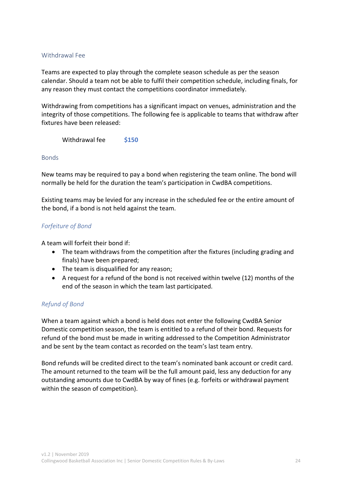#### Withdrawal Fee

Teams are expected to play through the complete season schedule as per the season calendar. Should a team not be able to fulfil their competition schedule, including finals, for any reason they must contact the competitions coordinator immediately.

Withdrawing from competitions has a significant impact on venues, administration and the integrity of those competitions. The following fee is applicable to teams that withdraw after fixtures have been released:

Withdrawal fee **\$150**

#### Bonds

New teams may be required to pay a bond when registering the team online. The bond will normally be held for the duration the team's participation in CwdBA competitions.

Existing teams may be levied for any increase in the scheduled fee or the entire amount of the bond, if a bond is not held against the team.

#### *Forfeiture of Bond*

A team will forfeit their bond if:

- The team withdraws from the competition after the fixtures (including grading and finals) have been prepared;
- The team is disqualified for any reason;
- A request for a refund of the bond is not received within twelve (12) months of the end of the season in which the team last participated.

#### *Refund of Bond*

When a team against which a bond is held does not enter the following CwdBA Senior Domestic competition season, the team is entitled to a refund of their bond. Requests for refund of the bond must be made in writing addressed to the Competition Administrator and be sent by the team contact as recorded on the team's last team entry.

Bond refunds will be credited direct to the team's nominated bank account or credit card. The amount returned to the team will be the full amount paid, less any deduction for any outstanding amounts due to CwdBA by way of fines (e.g. forfeits or withdrawal payment within the season of competition).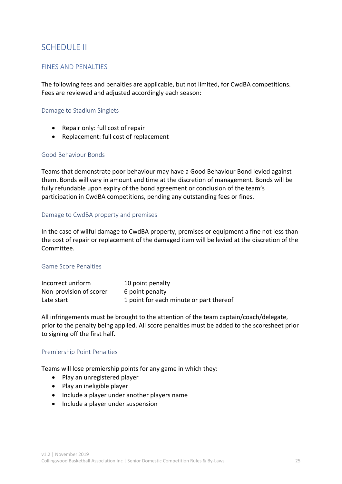# SCHEDULE II

#### FINES AND PENALTIES

The following fees and penalties are applicable, but not limited, for CwdBA competitions. Fees are reviewed and adjusted accordingly each season:

#### Damage to Stadium Singlets

- Repair only: full cost of repair
- Replacement: full cost of replacement

#### Good Behaviour Bonds

Teams that demonstrate poor behaviour may have a Good Behaviour Bond levied against them. Bonds will vary in amount and time at the discretion of management. Bonds will be fully refundable upon expiry of the bond agreement or conclusion of the team's participation in CwdBA competitions, pending any outstanding fees or fines.

#### Damage to CwdBA property and premises

In the case of wilful damage to CwdBA property, premises or equipment a fine not less than the cost of repair or replacement of the damaged item will be levied at the discretion of the Committee.

#### Game Score Penalties

| Incorrect uniform       | 10 point penalty                        |
|-------------------------|-----------------------------------------|
| Non-provision of scorer | 6 point penalty                         |
| Late start              | 1 point for each minute or part thereof |

All infringements must be brought to the attention of the team captain/coach/delegate, prior to the penalty being applied. All score penalties must be added to the scoresheet prior to signing off the first half.

#### Premiership Point Penalties

Teams will lose premiership points for any game in which they:

- Play an unregistered player
- Play an ineligible player
- Include a player under another players name
- Include a player under suspension